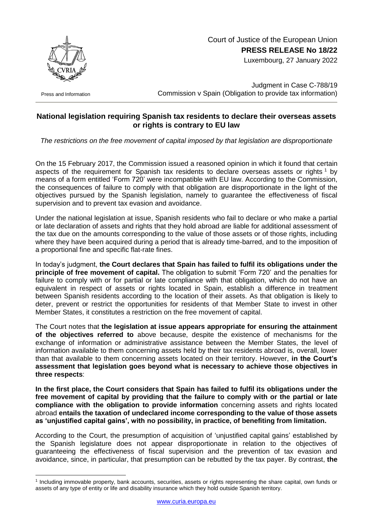

Court of Justice of the European Union **PRESS RELEASE No 18/22**

Luxembourg, 27 January 2022

Press and Information

1

Judgment in Case C-788/19 Commission v Spain (Obligation to provide tax information)

## **National legislation requiring Spanish tax residents to declare their overseas assets or rights is contrary to EU law**

*The restrictions on the free movement of capital imposed by that legislation are disproportionate*

On the 15 February 2017, the Commission issued a reasoned opinion in which it found that certain aspects of the requirement for Spanish tax residents to declare overseas assets or rights<sup>1</sup> by means of a form entitled 'Form 720' were incompatible with EU law. According to the Commission, the consequences of failure to comply with that obligation are disproportionate in the light of the objectives pursued by the Spanish legislation, namely to guarantee the effectiveness of fiscal supervision and to prevent tax evasion and avoidance.

Under the national legislation at issue, Spanish residents who fail to declare or who make a partial or late declaration of assets and rights that they hold abroad are liable for additional assessment of the tax due on the amounts corresponding to the value of those assets or of those rights, including where they have been acquired during a period that is already time-barred, and to the imposition of a proportional fine and specific flat-rate fines.

In today's judgment, **the Court declares that Spain has failed to fulfil its obligations under the principle of free movement of capital.** The obligation to submit 'Form 720' and the penalties for failure to comply with or for partial or late compliance with that obligation, which do not have an equivalent in respect of assets or rights located in Spain, establish a difference in treatment between Spanish residents according to the location of their assets. As that obligation is likely to deter, prevent or restrict the opportunities for residents of that Member State to invest in other Member States, it constitutes a restriction on the free movement of capital.

The Court notes that **the legislation at issue appears appropriate for ensuring the attainment of the objectives referred to** above because, despite the existence of mechanisms for the exchange of information or administrative assistance between the Member States, the level of information available to them concerning assets held by their tax residents abroad is, overall, lower than that available to them concerning assets located on their territory. However, **in the Court's assessment that legislation goes beyond what is necessary to achieve those objectives in three respects**:

**In the first place, the Court considers that Spain has failed to fulfil its obligations under the free movement of capital by providing that the failure to comply with or the partial or late compliance with the obligation to provide information** concerning assets and rights located abroad **entails the taxation of undeclared income corresponding to the value of those assets as 'unjustified capital gains', with no possibility, in practice, of benefiting from limitation.**

According to the Court, the presumption of acquisition of 'unjustified capital gains' established by the Spanish legislature does not appear disproportionate in relation to the objectives of guaranteeing the effectiveness of fiscal supervision and the prevention of tax evasion and avoidance, since, in particular, that presumption can be rebutted by the tax payer. By contrast, **the** 

<sup>1</sup> Including immovable property, bank accounts, securities, assets or rights representing the share capital, own funds or assets of any type of entity or life and disability insurance which they hold outside Spanish territory.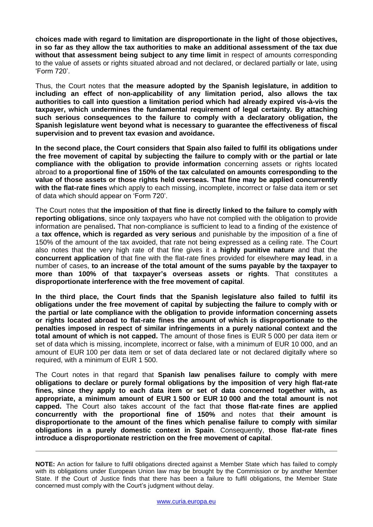**choices made with regard to limitation are disproportionate in the light of those objectives, in so far as they allow the tax authorities to make an additional assessment of the tax due without that assessment being subject to any time limit** in respect of amounts corresponding to the value of assets or rights situated abroad and not declared, or declared partially or late, using 'Form 720'.

Thus, the Court notes that **the measure adopted by the Spanish legislature, in addition to including an effect of non-applicability of any limitation period, also allows the tax authorities to call into question a limitation period which had already expired vis-à-vis the taxpayer, which undermines the fundamental requirement of legal certainty. By attaching such serious consequences to the failure to comply with a declaratory obligation, the Spanish legislature went beyond what is necessary to guarantee the effectiveness of fiscal supervision and to prevent tax evasion and avoidance.**

**In the second place, the Court considers that Spain also failed to fulfil its obligations under the free movement of capital by subjecting the failure to comply with or the partial or late compliance with the obligation to provide information** concerning assets or rights located abroad **to a proportional fine of 150% of the tax calculated on amounts corresponding to the value of those assets or those rights held overseas. That fine may be applied concurrently with the flat-rate fines** which apply to each missing, incomplete, incorrect or false data item or set of data which should appear on 'Form 720'.

The Court notes that **the imposition of that fine is directly linked to the failure to comply with reporting obligations**, since only taxpayers who have not complied with the obligation to provide information are penalised**.** That non-compliance is sufficient to lead to a finding of the existence of a **tax offence, which is regarded as very serious** and punishable by the imposition of a fine of 150% of the amount of the tax avoided, that rate not being expressed as a ceiling rate. The Court also notes that the very high rate of that fine gives it a **highly punitive nature** and that the **concurrent application** of that fine with the flat-rate fines provided for elsewhere **may lead**, in a number of cases, **to an increase of the total amount of the sums payable by the taxpayer to more than 100% of that taxpayer's overseas assets or rights**. That constitutes a **disproportionate interference with the free movement of capital**.

**In the third place, the Court finds that the Spanish legislature also failed to fulfil its obligations under the free movement of capital by subjecting the failure to comply with or the partial or late compliance with the obligation to provide information concerning assets or rights located abroad to flat-rate fines the amount of which is disproportionate to the penalties imposed in respect of similar infringements in a purely national context and the total amount of which is not capped.** The amount of those fines is EUR 5 000 per data item or set of data which is missing, incomplete, incorrect or false, with a minimum of EUR 10 000, and an amount of EUR 100 per data item or set of data declared late or not declared digitally where so required, with a minimum of EUR 1 500.

The Court notes in that regard that **Spanish law penalises failure to comply with mere obligations to declare or purely formal obligations by the imposition of very high flat-rate fines, since they apply to each data item or set of data concerned together with, as appropriate, a minimum amount of EUR 1 500 or EUR 10 000 and the total amount is not capped.** The Court also takes account of the fact that **those flat-rate fines are applied concurrently with the proportional fine of 150%** and notes that **their amount is disproportionate to the amount of the fines which penalise failure to comply with similar obligations in a purely domestic context in Spain**. Consequently, **those flat-rate fines introduce a disproportionate restriction on the free movement of capital**.

**NOTE:** An action for failure to fulfil obligations directed against a Member State which has failed to comply with its obligations under European Union law may be brought by the Commission or by another Member State. If the Court of Justice finds that there has been a failure to fulfil obligations, the Member State concerned must comply with the Court's judgment without delay.